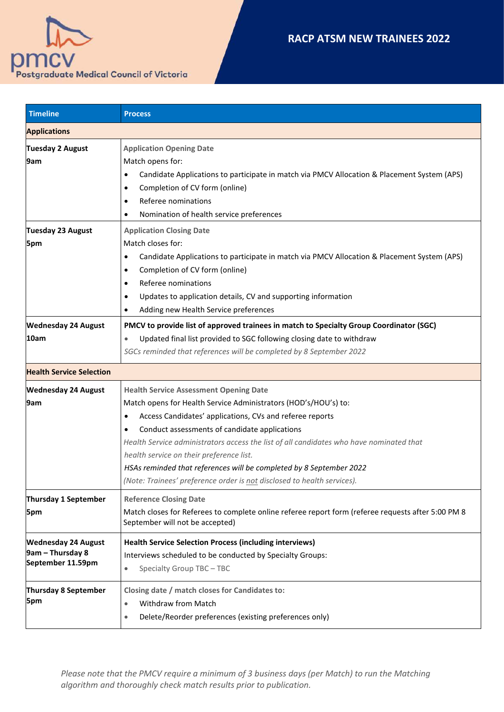



| <b>Timeline</b>                                                     | <b>Process</b>                                                                                                                                                                                                                                                                                                                                                                                                                                                                                                              |  |
|---------------------------------------------------------------------|-----------------------------------------------------------------------------------------------------------------------------------------------------------------------------------------------------------------------------------------------------------------------------------------------------------------------------------------------------------------------------------------------------------------------------------------------------------------------------------------------------------------------------|--|
| <b>Applications</b>                                                 |                                                                                                                                                                                                                                                                                                                                                                                                                                                                                                                             |  |
| <b>Tuesday 2 August</b><br>9am                                      | <b>Application Opening Date</b><br>Match opens for:<br>Candidate Applications to participate in match via PMCV Allocation & Placement System (APS)<br>٠<br>Completion of CV form (online)<br>٠<br>Referee nominations<br>$\bullet$                                                                                                                                                                                                                                                                                          |  |
| Tuesday 23 August<br>5pm                                            | Nomination of health service preferences<br><b>Application Closing Date</b><br>Match closes for:<br>Candidate Applications to participate in match via PMCV Allocation & Placement System (APS)<br>٠<br>Completion of CV form (online)<br>٠<br>Referee nominations<br>٠<br>Updates to application details, CV and supporting information<br>٠<br>Adding new Health Service preferences                                                                                                                                      |  |
| <b>Wednesday 24 August</b><br>10am                                  | PMCV to provide list of approved trainees in match to Specialty Group Coordinator (SGC)<br>Updated final list provided to SGC following closing date to withdraw<br>$\bullet$<br>SGCs reminded that references will be completed by 8 September 2022                                                                                                                                                                                                                                                                        |  |
| <b>Health Service Selection</b>                                     |                                                                                                                                                                                                                                                                                                                                                                                                                                                                                                                             |  |
| <b>Wednesday 24 August</b><br>9am                                   | <b>Health Service Assessment Opening Date</b><br>Match opens for Health Service Administrators (HOD's/HOU's) to:<br>Access Candidates' applications, CVs and referee reports<br>٠<br>Conduct assessments of candidate applications<br>Health Service administrators access the list of all candidates who have nominated that<br>health service on their preference list.<br>HSAs reminded that references will be completed by 8 September 2022<br>(Note: Trainees' preference order is not disclosed to health services). |  |
| Thursday 1 September<br>5pm                                         | <b>Reference Closing Date</b><br>Match closes for Referees to complete online referee report form (referee requests after 5:00 PM 8<br>September will not be accepted)                                                                                                                                                                                                                                                                                                                                                      |  |
| <b>Wednesday 24 August</b><br>9am - Thursday 8<br>September 11.59pm | <b>Health Service Selection Process (including interviews)</b><br>Interviews scheduled to be conducted by Specialty Groups:<br>Specialty Group TBC - TBC<br>۰                                                                                                                                                                                                                                                                                                                                                               |  |
| Thursday 8 September<br>5pm                                         | Closing date / match closes for Candidates to:<br><b>Withdraw from Match</b><br>$\bullet$<br>Delete/Reorder preferences (existing preferences only)<br>$\bullet$                                                                                                                                                                                                                                                                                                                                                            |  |